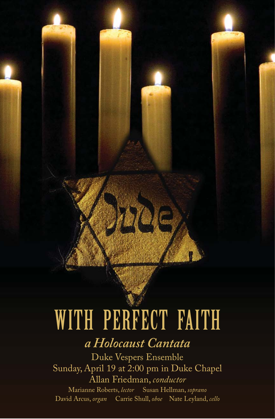# WITH PERFECT FAITH

297A (C

# *a Holocaust Cantata*

Duke Vespers Ensemble Sunday, April 19 at 2:00 pm in Duke Chapel Allan Friedman, *conductor* Marianne Roberts, *lector* Susan Hellman, *soprano* David Arcus, *organ* Carrie Shull, *oboe* Nate Leyland, *cello*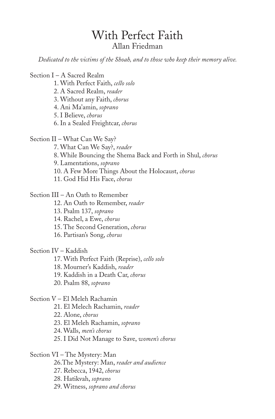# With Perfect Faith Allan Friedman

*Dedicated to the victims of the Shoah, and to those who keep their memory alive.*

Section I – A Sacred Realm

- 1. With Perfect Faith, *cello solo*
- 2. A Sacred Realm, *reader*
- 3. Without any Faith, *chorus*
- 4. Ani Ma'amin, *soprano*
- 5. I Believe, *chorus*
- 6. In a Sealed Freightcar, *chorus*

Section II – What Can We Say?

- 7. What Can We Say?, *reader*
- 8. While Bouncing the Shema Back and Forth in Shul, *chorus*
- 9. Lamentations, *soprano*
- 10. A Few More Things About the Holocaust, *chorus*
- 11. God Hid His Face, *chorus*

Section III – An Oath to Remember

- 12. An Oath to Remember, *reader*
- 13. Psalm 137, *soprano*
- 14. Rachel, a Ewe, *chorus*
- 15. The Second Generation, *chorus*
- 16. Partisan's Song, *chorus*

Section IV – Kaddish

- 17. With Perfect Faith (Reprise), *cello solo*
- 18. Mourner's Kaddish, *reader*
- 19. Kaddish in a Death Car, *chorus*
- 20. Psalm 88, *soprano*

Section V – El Meleh Rachamin

- 21. El Melech Rachamin, *reader*
- 22. Alone, *chorus*
- 23. El Meleh Rachamin, *soprano*
- 24. Walls, *men's chorus*
- 25. I Did Not Manage to Save, *women's chorus*

Section VI – The Mystery: Man

- 26.The Mystery: Man, *reader and audience*
- 27. Rebecca, 1942, *chorus*
- 28. Hatikvah, *soprano*
- 29. Witness, *soprano and chorus*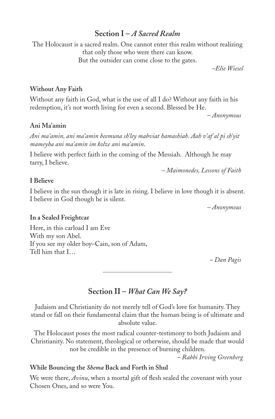# **Section I –** *A Sacred Realm*

The Holocaust is a sacred realm. One cannot enter this realm without realizing that only those who were there can know. But the outsider can come close to the gates.

*–Elie Wiesel*

### **Without Any Faith**

Without any faith in God, what is the use of all I do? Without any faith in his redemption, it's not worth living for even a second. Blessed be He.

*– Anonymous*

### **Ani Ma'amin**

*Ani ma'amin, ani ma'amin beemuna sh'ley mabviat hamashiah. Aah v'af al pi sh'yit mameyha ani ma'amin im kolze ani ma'amin*.

I believe with perfect faith in the coming of the Messiah. Although he may tarry, I believe.

*– Maimonedes, Lessons of Faith*

# **I Believe**

I believe in the sun though it is late in rising. I believe in love though it is absent. I believe in God though he is silent.

*– Anonymous*

### **In a Sealed Freightcar**

Here, in this carload I am Eve With my son Abel. If you see my older boy–Cain, son of Adam, Tell him that I…

*– Dan Pagis*

# **Section II –** *What Can We Say?*

Judaism and Christianity do not merely tell of God's love for humanity. They stand or fall on their fundamental claim that the human being is of ultimate and absolute value.

The Holocaust poses the most radical counter-testimony to both Judaism and Christianity. No statement, theological or otherwise, should be made that would not be credible in the presence of burning children.

*– Rabbi Irving Greenberg*

# **While Bouncing the** *Shema* **Back and Forth in Shul**

We were there, *Avinu*, when a mortal gift of flesh sealed the covenant with your Chosen Ones, and so were You.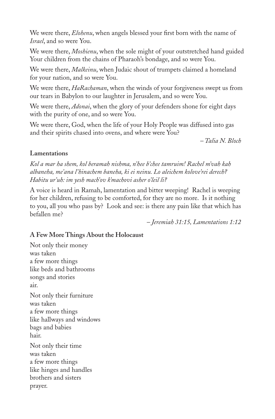We were there, *Elohenu*, when angels blessed your first born with the name of *Israel*, and so were You.

We were there, *Moshienu*, when the sole might of your outstretched hand guided Your children from the chains of Pharaoh's bondage, and so were You.

We were there, *Malkeinu*, when Judaic shout of trumpets claimed a homeland for your nation, and so were You.

We were there, *HaRachaman*, when the winds of your forgiveness swept us from our tears in Babylon to our laughter in Jerusalem, and so were You.

We were there, *Adonai*, when the glory of your defenders shone for eight days with the purity of one, and so were You.

We were there, God, when the life of your Holy People was diffused into gas and their spirits chased into ovens, and where were You?

*– Talia N. Bloch*

# **Lamentations**

*Kol a mar ha shem, kol beramah nishma, n'hee b'chee tamruim! Rachel m'vah kah albaneha, me'ana l'hinachem baneha, ki ei neinu. Lo aleichem kolove'rei derech? Habitu ur'uh: im yesh mach'ov k'machovi asher o'leil li?* 

A voice is heard in Ramah, lamentation and bitter weeping! Rachel is weeping for her children, refusing to be comforted, for they are no more. Is it nothing to you, all you who pass by? Look and see: is there any pain like that which has befallen me?

*– Jeremiah 31:15, Lamentations 1:12*

# **A Few More Things About the Holocaust**

Not only their money was taken a few more things like beds and bathrooms songs and stories air. Not only their furniture was taken a few more things like hallways and windows bags and babies hair. Not only their time was taken a few more things like hinges and handles brothers and sisters prayer.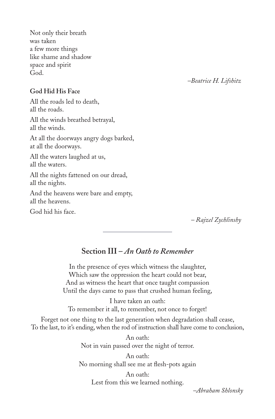Not only their breath was taken a few more things like shame and shadow space and spirit God.

*–Beatrice H. Lifshitz*

### **God Hid His Face**

All the roads led to death, all the roads.

All the winds breathed betrayal, all the winds.

At all the doorways angry dogs barked, at all the doorways.

All the waters laughed at us, all the waters.

All the nights fattened on our dread, all the nights.

And the heavens were bare and empty, all the heavens.

God hid his face.

*– Rajzel Zychlinshy*

# **Section III –** *An Oath to Remember*

In the presence of eyes which witness the slaughter, Which saw the oppression the heart could not bear, And as witness the heart that once taught compassion Until the days came to pass that crushed human feeling,

I have taken an oath: To remember it all, to remember, not once to forget!

Forget not one thing to the last generation when degradation shall cease, To the last, to it's ending, when the rod of instruction shall have come to conclusion,

> An oath: Not in vain passed over the night of terror.

An oath: No morning shall see me at flesh-pots again

> An oath: Lest from this we learned nothing.

> > *–Abraham Shlonsky*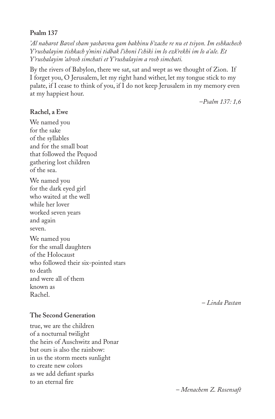### **Psalm 137**

*'Al naharot Bavel sham yashavnu gam bakhinu b'zache re nu et tsiyon. Im eshkachech Y'rushalayim tishkach y'mini tidbak l'shoni l'chiki im lo ezk'rekhi im lo a'ale. Et Y'rushalayim 'alrosh simchati et Y'rushalayim a rosh simchati.* 

By the rivers of Babylon, there we sat, sat and wept as we thought of Zion. If I forget you, O Jerusalem, let my right hand wither, let my tongue stick to my palate, if I cease to think of you, if I do not keep Jerusalem in my memory even at my happiest hour.

–*Psalm 137: 1,6*

### **Rachel, a Ewe**

We named you for the sake of the syllables and for the small boat that followed the Pequod gathering lost children of the sea. We named you for the dark eyed girl who waited at the well while her lover

worked seven years and again seven.

We named you for the small daughters of the Holocaust who followed their six-pointed stars to death and were all of them known as Rachel.

### **The Second Generation**

true, we are the children of a nocturnal twilight the heirs of Auschwitz and Ponar but ours is also the rainbow: in us the storm meets sunlight to create new colors as we add defiant sparks to an eternal fire

– *Linda Pastan*

– *Menachem Z. Rosensaft*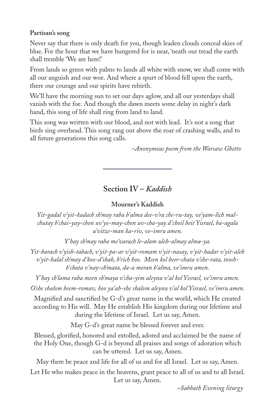# **Partisan's song**

Never say that there is only death for you, though leaden clouds conceal skies of blue. For the hour that we have hungered for is near, 'neath our tread the earth shall tremble 'We are here!'

From lands so green with palms to lands all white with snow, we shall come with all our anguish and our woe. And where a spurt of blood fell upon the earth, there our courage and our spirits have rebirth.

We'll have the morning sun to set our days aglow, and all our yesterdays shall vanish with the foe. And though the dawn meets some delay in night's dark hand, this song of life shall ring from land to land.

This song was written with our blood, and not with lead. It's not a song that birds sing overhead. This song rang out above the roar of crashing walls, and to all future generations this song calls.

 *–Anonymous poem from the Warsaw Ghetto*

# **Section IV –** *Kaddish*

# **Mourner's Kaddish**

*Yit-gadal v'yit-kadash sh'may raba b'alma dee-v'ra che-ru-tay, ve'yam-lich malchutay b'chai-yay-chon uv'yo-may-chon uv-cha-yay d'choil beit Yisrael, ba-agala u'vitze-man ka-riv, ve-imru amen.*

*Y'hay sh'may raba me'varach le-alam uleh-almay alma-ya.*

*Yit-barach v'yish-tabach, v'yit-pa-ar v'yit-romam v'yit-nasay, v'yit-hadar v'yit-aleh v'yit-halal sh'may d'koo-d'shah, b'rich hoo. Meen kol beer-chata v'she-rata, tooshb'chata v'nay-ch'mata, da-a meran b'alma, ve'imru amen.*

*Y'hay sh'lama raba meen sh'maya v'cha-yim aleynu v'al kol Yisrael, ve'imru amen. O'she shalom beem-romav, hoo ya'ah-she shalom aleynu v'al kol Yisrael, ve'imru amen.*

Magnified and sanctified be G-d's great name in the world, which He created according to His will. May He establish His kingdom during our lifetime and during the lifetime of Israel. Let us say, Amen.

May G-d's great name be blessed forever and ever.

Blessed, glorified, honored and extolled, adored and acclaimed be the name of the Holy One, though G-d is beyond all praises and songs of adoration which can be uttered. Let us say, Amen.

May there be peace and life for all of us and for all Israel. Let us say, Amen.

Let He who makes peace in the heavens, grant peace to all of us and to all Israel. Let us say, Amen.

*–Sabbath Evening liturgy*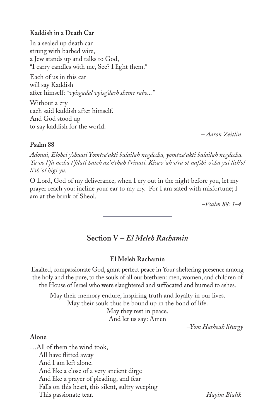### **Kaddish in a Death Car**

In a sealed up death car strung with barbed wire, a Jew stands up and talks to God, "I carry candles with me, See? I light them."

Each of us in this car will say Kaddish after himself: "*vyisgadal vyisg'dash sheme rabo..."*

Without a cry each said kaddish after himself. And God stood up to say kaddish for the world.

*– Aaron Zeitlin*

### **Psalm 88**

*Adonai, Elohei y'shuati Yomtsa'akti balailah negdecha, yomtza'akti balailah negdecha. Ta vo l'fa necha t'fi lati hateh az'n'chah l'rinati. Kisav 'ah v'ra ot nafshi v'cha yai lish'ol li'sh 'ol higi yu.*

O Lord, God of my deliverance, when I cry out in the night before you, let my prayer reach you: incline your ear to my cry. For I am sated with misfortune; I am at the brink of Sheol.

*–Psalm 88: 1-4*

# **Section V –** *El Meleh Rachamin*

### **El Meleh Rachamin**

Exalted, compassionate God, grant perfect peace in Your sheltering presence among the holy and the pure, to the souls of all our brethren: men, women, and children of the House of Israel who were slaughtered and suffocated and burned to ashes.

May their memory endure, inspiring truth and loyalty in our lives. May their souls thus be bound up in the bond of life. May they rest in peace.

And let us say: Amen

*–Yom Hashoah liturgy*

### **Alone**

…All of them the wind took, All have flitted away And I am left alone. And like a close of a very ancient dirge And like a prayer of pleading, and fear Falls on this heart, this silent, sultry weeping This passionate tear. *– Hayim Bialik*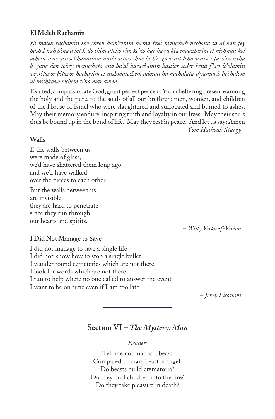# **El Meleh Rachamin**

*El maleh rachamin sho chren bam'ronim ha'ma tzei m'nuchah nechona ta al kan fey hash I nah b'ma'a lot k' do shim uteho rim ke'zo har ha ra kia maazhirim et nish'mat kol achein v'ne yisroel hanashim nashi v'tav shne hi h'r' gu v'nit b'hu v'nis, r'fu v'ni n'chu b' gane den tehey menuchato ano ba'al harachamin hastier seder kena f 'av le'olamin veyritzror bitzror hachayim et nishmatechem adonai hu nachalata v'yanuach be'shalom al mishkavo techem v'no mar amen.*

Exalted, compassionate God, grant perfect peace in Your sheltering presence among the holy and the pure, to the souls of all our brethren: men, women, and children of the House of Israel who were slaughtered and suffocated and burned to ashes. May their memory endure, inspiring truth and loyalty in our lives. May their souls thus be bound up in the bond of life. May they rest in peace. And let us say: Amen  *– Yom Hashoah liturgy*

# **Walls**

If the walls between us were made of glass, we'd have shattered them long ago and we'd have walked over the pieces to each other.

But the walls between us are invisible they are hard to penetrate since they run through our hearts and spirits.

*– Willy Verkanf-Verion*

# **I Did Not Manage to Save**

I did not manage to save a single life I did not know how to stop a single bullet I wander round cemeteries which are not there I look for words which are not there I run to help where no one called to answer the event I want to be on time even if I am too late.

*– Jerry Ficowski*

# **Section VI –** *The Mystery: Man*

*Reader:*

Tell me not man is a beast Compared to man, beast is angel. Do beasts build crematoria? Do they hurl children into the fire? Do they take pleasure in death?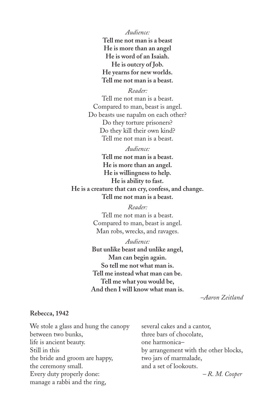*Audience:*

**Tell me not man is a beast He is more than an angel He is word of an Isaiah. He is outcry of Job. He yearns for new worlds. Tell me not man is a beast.**

*Reader:*

Tell me not man is a beast. Compared to man, beast is angel. Do beasts use napalm on each other? Do they torture prisoners? Do they kill their own kind? Tell me not man is a beast.

*Audience:* **Tell me not man is a beast. He is more than an angel. He is willingness to help. He is ability to fast. He is a creature that can cry, confess, and change. Tell me not man is a beast.**

> *Reader:* Tell me not man is a beast. Compared to man, beast is angel. Man robs, wrecks, and ravages.

*Audience:* **But unlike beast and unlike angel, Man can begin again. So tell me not what man is. Tell me instead what man can be. Tell me what you would be, And then I will know what man is.**

*–Aaron Zeitland*

### **Rebecca, 1942**

several cakes and a cantor, three bars of chocolate, one harmonica– by arrangement with the other blocks, two jars of marmalade, and a set of lookouts. *– R. M. Cooper* We stole a glass and hung the canopy between two bunks, life is ancient beauty. Still in this the bride and groom are happy, the ceremony small. Every duty properly done: manage a rabbi and the ring,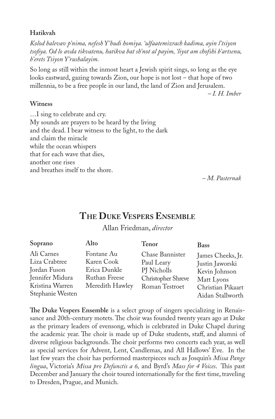# **Hatikvah**

*Kolod balevav p'nima, nefesh Y'hudi homiya. 'ulfaatemizrach kadima, ayin l'tsiyon tsofi ya. Od lo avda tikvatenu, hatikva bat sh'not al payim, 'liyot am chofshi b'artsenu, b'erets Tsiyon Y'rushalayim.* 

So long as still within the inmost heart a Jewish spirit sings, so long as the eye looks eastward, gazing towards Zion, our hope is not lost – that hope of two millennia, to be a free people in our land, the land of Zion and Jerusalem.

*– I. H. Imber*

### **Witness**

…I sing to celebrate and cry. My sounds are prayers to be heard by the living and the dead. I bear witness to the light, to the dark and claim the miracle while the ocean whispers that for each wave that dies, another one rises and breathes itself to the shore.

*– M. Pasternak*

# **THE DUKE VESPERS ENSEMBLE**

Allan Friedman, *director*

| Soprano<br>Alto<br><b>Tenor</b><br><b>Bass</b>                                                                                                                                                                                                                                                                                                                           |                   |
|--------------------------------------------------------------------------------------------------------------------------------------------------------------------------------------------------------------------------------------------------------------------------------------------------------------------------------------------------------------------------|-------------------|
| Ali Carnes<br>Fontane Au<br>Chase Bannister<br>James Cheeks, Jr.<br>Liza Crabtree<br>Karen Cook<br>Paul Leary<br>Justin Jaworski<br>Jordan Fuson<br>Erica Dunkle<br>PJ Nicholls<br>Kevin Johnson<br>Jennifer Midura<br>Ruthan Freese<br>Christopher Shreve<br>Matt Lyons<br>Kristina Warren<br>Meredith Hawley<br>Roman Testroet<br>Stephanie Westen<br>Aidan Stallworth | Christian Pikaart |

**The Duke Vespers Ensemble** is a select group of singers specializing in Renaissance and 20th-century motets. The choir was founded twenty years ago at Duke as the primary leaders of evensong, which is celebrated in Duke Chapel during the academic year. The choir is made up of Duke students, staff, and alumni of diverse religious backgrounds. The choir performs two concerts each year, as well as special services for Advent, Lent, Candlemas, and All Hallows' Eve. In the last few years the choir has performed masterpieces such as Josquin's *Missa Pange lingua*, Victoria's Missa pro Defunctis a 6, and Byrd's Mass for 4 Voices. This past December and January the choir toured internationally for the first time, traveling to Dresden, Prague, and Munich.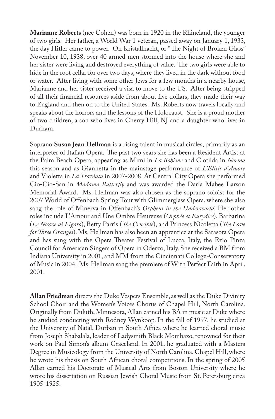**Marianne Roberts** (nee Cohen) was born in 1920 in the Rhineland, the younger of two girls. Her father, a World War 1 veteran, passed away on January 1, 1933, the day Hitler came to power. On Kristallnacht, or "The Night of Broken Glass" November 10, 1938, over 40 armed men stormed into the house where she and her sister were living and destroyed everything of value. The two girls were able to hide in the root cellar for over two days, where they lived in the dark without food or water. After living with some other Jews for a few months in a nearby house, Marianne and her sister received a visa to move to the US. After being stripped of all their financial resources aside from about five dollars, they made their way to England and then on to the United States. Ms. Roberts now travels locally and speaks about the horrors and the lessons of the Holocaust. She is a proud mother of two children, a son who lives in Cherry Hill, NJ and a daughter who lives in Durham.

Soprano **Susan Jean Hellman** is a rising talent in musical circles, primarily as an interpreter of Italian Opera. The past two years she has been a Resident Artist at the Palm Beach Opera, appearing as Mimi in *La Bohème* and Clotilda in *Norma* this season and as Giannetta in the mainstage performance of *L'Elisir d'Amore* and Violetta in *La Traviata* in 2007-2008. At Central City Opera she performed Cio-Cio-San in *Madama Butterfly* and was awarded the Darla Mabee Larson Memorial Award. Ms. Hellman was also chosen as the soprano soloist for the 2007 World of Offenbach Spring Tour with Glimmerglass Opera, where she also sang the role of Minerva in Offenbach's *Orpheus in the Underworld*. Her other roles include L'Amour and Une Ombre Heureuse (*Orphée et Eurydice*), Barbarina (*Le Nozze di Figaro*), Betty Parris (*The Crucible*), and Princess Nicoletta (*The Love for Three Oranges*). Ms. Hellman has also been an apprentice at the Sarasota Opera and has sung with the Opera Theater Festival of Lucca, Italy, the Ezio Pinza Council for American Singers of Opera in Oderzo, Italy. She received a BM from Indiana University in 2001, and MM from the Cincinnati College-Conservatory of Music in 2004. Ms. Hellman sang the premiere of With Perfect Faith in April, 2001.

**Allan Friedman** directs the Duke Vespers Ensemble, as well as the Duke Divinity School Choir and the Women's Voices Chorus of Chapel Hill, North Carolina. Originally from Duluth, Minnesota, Allan earned his BA in music at Duke where he studied conducting with Rodney Wynkoop. In the fall of 1997, he studied at the University of Natal, Durban in South Africa where he learned choral music from Joseph Shabalala, leader of Ladysmith Black Mombazo, renowned for their work on Paul Simon's album Graceland. In 2001, he graduated with a Masters Degree in Musicology from the University of North Carolina, Chapel Hill, where he wrote his thesis on South African choral competitions. In the spring of 2005 Allan earned his Doctorate of Musical Arts from Boston University where he wrote his dissertation on Russian Jewish Choral Music from St. Petersburg circa 1905-1925.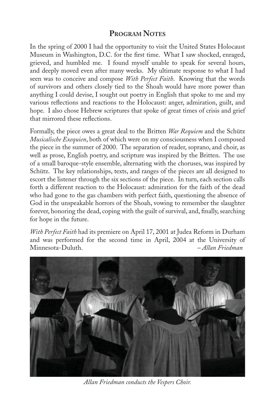# **PROGRAM NOTES**

In the spring of 2000 I had the opportunity to visit the United States Holocaust Museum in Washington, D.C. for the first time. What I saw shocked, enraged, grieved, and humbled me. I found myself unable to speak for several hours, and deeply moved even after many weeks. My ultimate response to what I had seen was to conceive and compose *With Perfect Faith*. Knowing that the words of survivors and others closely tied to the Shoah would have more power than anything I could devise, I sought out poetry in English that spoke to me and my various reflections and reactions to the Holocaust: anger, admiration, guilt, and hope. I also chose Hebrew scriptures that spoke of great times of crisis and grief that mirrored these reflections.

Formally, the piece owes a great deal to the Britten *War Requiem* and the Schütz *Musicalische Exequien*, both of which were on my consciousness when I composed the piece in the summer of 2000. The separation of reader, soprano, and choir, as well as prose, English poetry, and scripture was inspired by the Britten. The use of a small baroque-style ensemble, alternating with the choruses, was inspired by Schütz. The key relationships, texts, and ranges of the pieces are all designed to escort the listener through the six sections of the piece. In turn, each section calls forth a different reaction to the Holocaust: admiration for the faith of the dead who had gone to the gas chambers with perfect faith, questioning the absence of God in the unspeakable horrors of the Shoah, vowing to remember the slaughter forever, honoring the dead, coping with the guilt of survival, and, finally, searching for hope in the future.

*With Perfect Faith* had its premiere on April 17, 2001 at Judea Reform in Durham and was performed for the second time in April, 2004 at the University of Minnesota-Duluth. *– Allan Friedman*



*Allan Friedman conducts the Vespers Choir.*